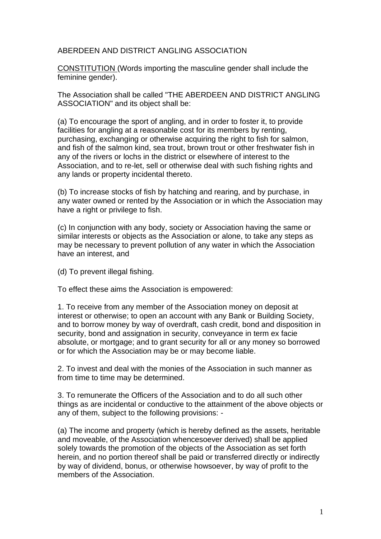ABERDEEN AND DISTRICT ANGLING ASSOCIATION

CONSTITUTION (Words importing the masculine gender shall include the feminine gender).

The Association shall be called "THE ABERDEEN AND DISTRICT ANGLING ASSOCIATION" and its object shall be:

(a) To encourage the sport of angling, and in order to foster it, to provide facilities for angling at a reasonable cost for its members by renting, purchasing, exchanging or otherwise acquiring the right to fish for salmon, and fish of the salmon kind, sea trout, brown trout or other freshwater fish in any of the rivers or lochs in the district or elsewhere of interest to the Association, and to re-let, sell or otherwise deal with such fishing rights and any lands or property incidental thereto.

(b) To increase stocks of fish by hatching and rearing, and by purchase, in any water owned or rented by the Association or in which the Association may have a right or privilege to fish.

(c) In conjunction with any body, society or Association having the same or similar interests or objects as the Association or alone, to take any steps as may be necessary to prevent pollution of any water in which the Association have an interest, and

(d) To prevent illegal fishing.

To effect these aims the Association is empowered:

1. To receive from any member of the Association money on deposit at interest or otherwise; to open an account with any Bank or Building Society, and to borrow money by way of overdraft, cash credit, bond and disposition in security, bond and assignation in security, conveyance in term ex facie absolute, or mortgage; and to grant security for all or any money so borrowed or for which the Association may be or may become liable.

2. To invest and deal with the monies of the Association in such manner as from time to time may be determined.

3. To remunerate the Officers of the Association and to do all such other things as are incidental or conductive to the attainment of the above objects or any of them, subject to the following provisions: -

(a) The income and property (which is hereby defined as the assets, heritable and moveable, of the Association whencesoever derived) shall be applied solely towards the promotion of the objects of the Association as set forth herein, and no portion thereof shall be paid or transferred directly or indirectly by way of dividend, bonus, or otherwise howsoever, by way of profit to the members of the Association.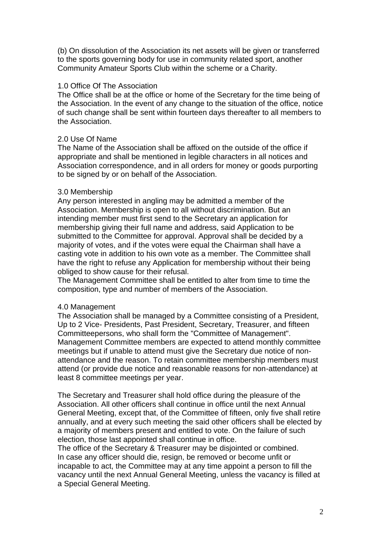(b) On dissolution of the Association its net assets will be given or transferred to the sports governing body for use in community related sport, another Community Amateur Sports Club within the scheme or a Charity.

## 1.0 Office Of The Association

The Office shall be at the office or home of the Secretary for the time being of the Association. In the event of any change to the situation of the office, notice of such change shall be sent within fourteen days thereafter to all members to the Association.

# 2.0 Use Of Name

The Name of the Association shall be affixed on the outside of the office if appropriate and shall be mentioned in legible characters in all notices and Association correspondence, and in all orders for money or goods purporting to be signed by or on behalf of the Association.

## 3.0 Membership

Any person interested in angling may be admitted a member of the Association. Membership is open to all without discrimination. But an intending member must first send to the Secretary an application for membership giving their full name and address, said Application to be submitted to the Committee for approval. Approval shall be decided by a majority of votes, and if the votes were equal the Chairman shall have a casting vote in addition to his own vote as a member. The Committee shall have the right to refuse any Application for membership without their being obliged to show cause for their refusal.

The Management Committee shall be entitled to alter from time to time the composition, type and number of members of the Association.

### 4.0 Management

The Association shall be managed by a Committee consisting of a President, Up to 2 Vice- Presidents, Past President, Secretary, Treasurer, and fifteen Committeepersons, who shall form the "Committee of Management". Management Committee members are expected to attend monthly committee meetings but if unable to attend must give the Secretary due notice of nonattendance and the reason. To retain committee membership members must attend (or provide due notice and reasonable reasons for non-attendance) at least 8 committee meetings per year.

The Secretary and Treasurer shall hold office during the pleasure of the Association. All other officers shall continue in office until the next Annual General Meeting, except that, of the Committee of fifteen, only five shall retire annually, and at every such meeting the said other officers shall be elected by a majority of members present and entitled to vote. On the failure of such election, those last appointed shall continue in office.

The office of the Secretary & Treasurer may be disjointed or combined. In case any officer should die, resign, be removed or become unfit or incapable to act, the Committee may at any time appoint a person to fill the vacancy until the next Annual General Meeting, unless the vacancy is filled at a Special General Meeting.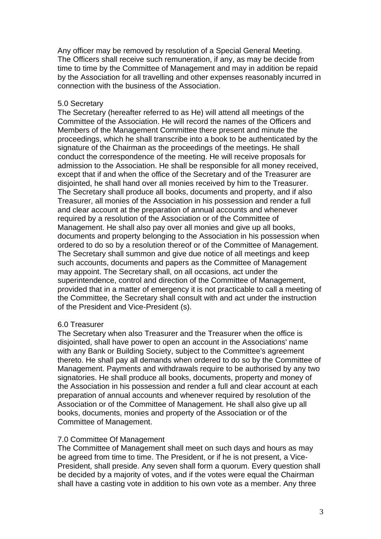Any officer may be removed by resolution of a Special General Meeting. The Officers shall receive such remuneration, if any, as may be decide from time to time by the Committee of Management and may in addition be repaid by the Association for all travelling and other expenses reasonably incurred in connection with the business of the Association.

### 5.0 Secretary

The Secretary (hereafter referred to as He) will attend all meetings of the Committee of the Association. He will record the names of the Officers and Members of the Management Committee there present and minute the proceedings, which he shall transcribe into a book to be authenticated by the signature of the Chairman as the proceedings of the meetings. He shall conduct the correspondence of the meeting. He will receive proposals for admission to the Association. He shall be responsible for all money received, except that if and when the office of the Secretary and of the Treasurer are disjointed, he shall hand over all monies received by him to the Treasurer. The Secretary shall produce all books, documents and property, and if also Treasurer, all monies of the Association in his possession and render a full and clear account at the preparation of annual accounts and whenever required by a resolution of the Association or of the Committee of Management. He shall also pay over all monies and give up all books, documents and property belonging to the Association in his possession when ordered to do so by a resolution thereof or of the Committee of Management. The Secretary shall summon and give due notice of all meetings and keep such accounts, documents and papers as the Committee of Management may appoint. The Secretary shall, on all occasions, act under the superintendence, control and direction of the Committee of Management, provided that in a matter of emergency it is not practicable to call a meeting of the Committee, the Secretary shall consult with and act under the instruction of the President and Vice-President (s).

# 6.0 Treasurer

The Secretary when also Treasurer and the Treasurer when the office is disjointed, shall have power to open an account in the Associations' name with any Bank or Building Society, subject to the Committee's agreement thereto. He shall pay all demands when ordered to do so by the Committee of Management. Payments and withdrawals require to be authorised by any two signatories. He shall produce all books, documents, property and money of the Association in his possession and render a full and clear account at each preparation of annual accounts and whenever required by resolution of the Association or of the Committee of Management. He shall also give up all books, documents, monies and property of the Association or of the Committee of Management.

# 7.0 Committee Of Management

The Committee of Management shall meet on such days and hours as may be agreed from time to time. The President, or if he is not present, a Vice-President, shall preside. Any seven shall form a quorum. Every question shall be decided by a majority of votes, and if the votes were equal the Chairman shall have a casting vote in addition to his own vote as a member. Any three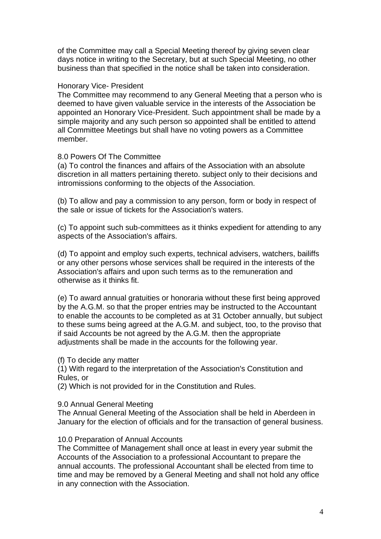of the Committee may call a Special Meeting thereof by giving seven clear days notice in writing to the Secretary, but at such Special Meeting, no other business than that specified in the notice shall be taken into consideration.

#### Honorary Vice- President

The Committee may recommend to any General Meeting that a person who is deemed to have given valuable service in the interests of the Association be appointed an Honorary Vice-President. Such appointment shall be made by a simple majority and any such person so appointed shall be entitled to attend all Committee Meetings but shall have no voting powers as a Committee member.

#### 8.0 Powers Of The Committee

(a) To control the finances and affairs of the Association with an absolute discretion in all matters pertaining thereto. subject only to their decisions and intromissions conforming to the objects of the Association.

(b) To allow and pay a commission to any person, form or body in respect of the sale or issue of tickets for the Association's waters.

(c) To appoint such sub-committees as it thinks expedient for attending to any aspects of the Association's affairs.

(d) To appoint and employ such experts, technical advisers, watchers, bailiffs or any other persons whose services shall be required in the interests of the Association's affairs and upon such terms as to the remuneration and otherwise as it thinks fit.

(e) To award annual gratuities or honoraria without these first being approved by the A.G.M. so that the proper entries may be instructed to the Accountant to enable the accounts to be completed as at 31 October annually, but subject to these sums being agreed at the A.G.M. and subject, too, to the proviso that if said Accounts be not agreed by the A.G.M. then the appropriate adjustments shall be made in the accounts for the following year.

#### (f) To decide any matter

(1) With regard to the interpretation of the Association's Constitution and Rules, or

(2) Which is not provided for in the Constitution and Rules.

### 9.0 Annual General Meeting

The Annual General Meeting of the Association shall be held in Aberdeen in January for the election of officials and for the transaction of general business.

### 10.0 Preparation of Annual Accounts

The Committee of Management shall once at least in every year submit the Accounts of the Association to a professional Accountant to prepare the annual accounts. The professional Accountant shall be elected from time to time and may be removed by a General Meeting and shall not hold any office in any connection with the Association.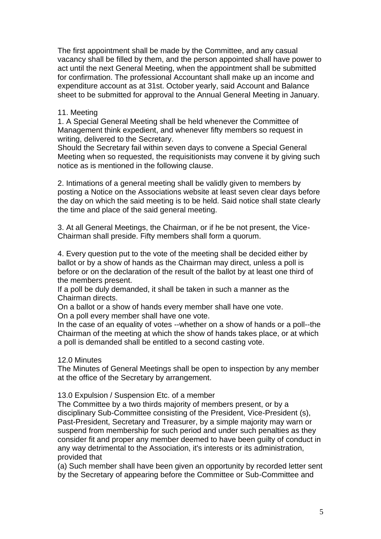The first appointment shall be made by the Committee, and any casual vacancy shall be filled by them, and the person appointed shall have power to act until the next General Meeting, when the appointment shall be submitted for confirmation. The professional Accountant shall make up an income and expenditure account as at 31st. October yearly, said Account and Balance sheet to be submitted for approval to the Annual General Meeting in January.

### 11. Meeting

1. A Special General Meeting shall be held whenever the Committee of Management think expedient, and whenever fifty members so request in writing, delivered to the Secretary.

Should the Secretary fail within seven days to convene a Special General Meeting when so requested, the requisitionists may convene it by giving such notice as is mentioned in the following clause.

2. Intimations of a general meeting shall be validly given to members by posting a Notice on the Associations website at least seven clear days before the day on which the said meeting is to be held. Said notice shall state clearly the time and place of the said general meeting.

3. At all General Meetings, the Chairman, or if he be not present, the Vice-Chairman shall preside. Fifty members shall form a quorum.

4. Every question put to the vote of the meeting shall be decided either by ballot or by a show of hands as the Chairman may direct, unless a poll is before or on the declaration of the result of the ballot by at least one third of the members present.

If a poll be duly demanded, it shall be taken in such a manner as the Chairman directs.

On a ballot or a show of hands every member shall have one vote.

On a poll every member shall have one vote.

In the case of an equality of votes --whether on a show of hands or a poll--the Chairman of the meeting at which the show of hands takes place, or at which a poll is demanded shall be entitled to a second casting vote.

### 12.0 Minutes

The Minutes of General Meetings shall be open to inspection by any member at the office of the Secretary by arrangement.

### 13.0 Expulsion / Suspension Etc. of a member

The Committee by a two thirds majority of members present, or by a disciplinary Sub-Committee consisting of the President, Vice-President (s), Past-President, Secretary and Treasurer, by a simple majority may warn or suspend from membership for such period and under such penalties as they consider fit and proper any member deemed to have been guilty of conduct in any way detrimental to the Association, it's interests or its administration, provided that

(a) Such member shall have been given an opportunity by recorded letter sent by the Secretary of appearing before the Committee or Sub-Committee and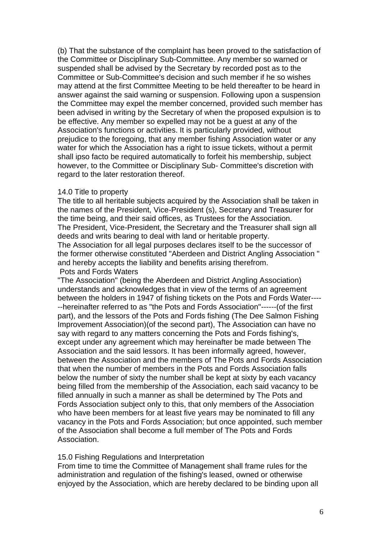(b) That the substance of the complaint has been proved to the satisfaction of the Committee or Disciplinary Sub-Committee. Any member so warned or suspended shall be advised by the Secretary by recorded post as to the Committee or Sub-Committee's decision and such member if he so wishes may attend at the first Committee Meeting to be held thereafter to be heard in answer against the said warning or suspension. Following upon a suspension the Committee may expel the member concerned, provided such member has been advised in writing by the Secretary of when the proposed expulsion is to be effective. Any member so expelled may not be a guest at any of the Association's functions or activities. It is particularly provided, without prejudice to the foregoing, that any member fishing Association water or any water for which the Association has a right to issue tickets, without a permit shall ipso facto be required automatically to forfeit his membership, subject however, to the Committee or Disciplinary Sub- Committee's discretion with regard to the later restoration thereof.

#### 14.0 Title to property

The title to all heritable subjects acquired by the Association shall be taken in the names of the President, Vice-President (s), Secretary and Treasurer for the time being, and their said offices, as Trustees for the Association. The President, Vice-President, the Secretary and the Treasurer shall sign all deeds and writs bearing to deal with land or heritable property.

The Association for all legal purposes declares itself to be the successor of the former otherwise constituted "Aberdeen and District Angling Association " and hereby accepts the liability and benefits arising therefrom. Pots and Fords Waters

"The Association" (being the Aberdeen and District Angling Association) understands and acknowledges that in view of the terms of an agreement between the holders in 1947 of fishing tickets on the Pots and Fords Water---- --hereinafter referred to as "the Pots and Fords Association"------(of the first part), and the lessors of the Pots and Fords fishing (The Dee Salmon Fishing Improvement Association)(of the second part), The Association can have no say with regard to any matters concerning the Pots and Fords fishing's, except under any agreement which may hereinafter be made between The Association and the said lessors. It has been informally agreed, however, between the Association and the members of The Pots and Fords Association that when the number of members in the Pots and Fords Association falls below the number of sixty the number shall be kept at sixty by each vacancy being filled from the membership of the Association, each said vacancy to be filled annually in such a manner as shall be determined by The Pots and Fords Association subject only to this, that only members of the Association who have been members for at least five years may be nominated to fill any vacancy in the Pots and Fords Association; but once appointed, such member of the Association shall become a full member of The Pots and Fords Association.

### 15.0 Fishing Regulations and Interpretation

From time to time the Committee of Management shall frame rules for the administration and regulation of the fishing's leased, owned or otherwise enjoyed by the Association, which are hereby declared to be binding upon all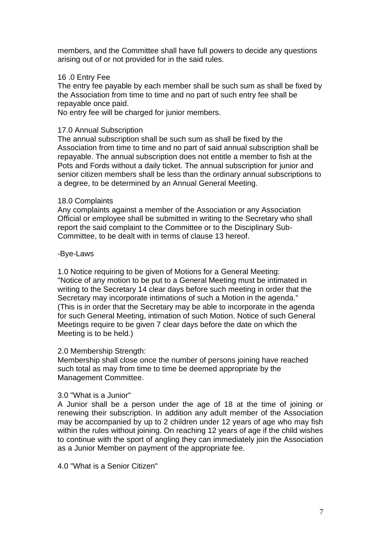members, and the Committee shall have full powers to decide any questions arising out of or not provided for in the said rules.

# 16 .0 Entry Fee

The entry fee payable by each member shall be such sum as shall be fixed by the Association from time to time and no part of such entry fee shall be repayable once paid.

No entry fee will be charged for junior members.

# 17.0 Annual Subscription

The annual subscription shall be such sum as shall be fixed by the Association from time to time and no part of said annual subscription shall be repayable. The annual subscription does not entitle a member to fish at the Pots and Fords without a daily ticket. The annual subscription for junior and senior citizen members shall be less than the ordinary annual subscriptions to a degree, to be determined by an Annual General Meeting.

## 18.0 Complaints

Any complaints against a member of the Association or any Association Official or employee shall be submitted in writing to the Secretary who shall report the said complaint to the Committee or to the Disciplinary Sub-Committee, to be dealt with in terms of clause 13 hereof.

## -Bye-Laws

1.0 Notice requiring to be given of Motions for a General Meeting: "Notice of any motion to be put to a General Meeting must be intimated in writing to the Secretary 14 clear days before such meeting in order that the Secretary may incorporate intimations of such a Motion in the agenda." (This is in order that the Secretary may be able to incorporate in the agenda for such General Meeting, intimation of such Motion. Notice of such General Meetings require to be given 7 clear days before the date on which the Meeting is to be held.)

# 2.0 Membership Strength:

Membership shall close once the number of persons joining have reached such total as may from time to time be deemed appropriate by the Management Committee.

# 3.0 "What is a Junior"

A Junior shall be a person under the age of 18 at the time of joining or renewing their subscription. In addition any adult member of the Association may be accompanied by up to 2 children under 12 years of age who may fish within the rules without joining. On reaching 12 years of age if the child wishes to continue with the sport of angling they can immediately join the Association as a Junior Member on payment of the appropriate fee.

4.0 "What is a Senior Citizen"